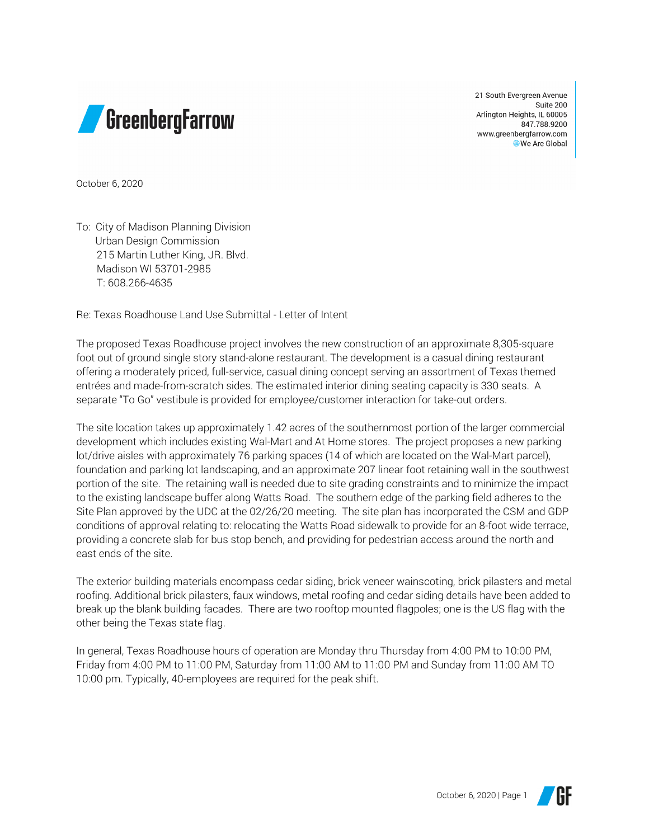

21 South Evergreen Avenue Suite 200 Arlington Heights, IL 60005 847.788.9200 www.greenbergfarrow.com We Are Global

October 6, 2020

To: City of Madison Planning Division Urban Design Commission 215 Martin Luther King, JR. Blvd. Madison WI 53701-2985 T: 608.266-4635

Re: Texas Roadhouse Land Use Submittal - Letter of Intent

The proposed Texas Roadhouse project involves the new construction of an approximate 8,305-square foot out of ground single story stand-alone restaurant. The development is a casual dining restaurant offering a moderately priced, full-service, casual dining concept serving an assortment of Texas themed entrées and made-from-scratch sides. The estimated interior dining seating capacity is 330 seats. A separate "To Go" vestibule is provided for employee/customer interaction for take-out orders.

The site location takes up approximately 1.42 acres of the southernmost portion of the larger commercial development which includes existing Wal-Mart and At Home stores. The project proposes a new parking lot/drive aisles with approximately 76 parking spaces (14 of which are located on the Wal-Mart parcel), foundation and parking lot landscaping, and an approximate 207 linear foot retaining wall in the southwest portion of the site. The retaining wall is needed due to site grading constraints and to minimize the impact to the existing landscape buffer along Watts Road. The southern edge of the parking field adheres to the Site Plan approved by the UDC at the 02/26/20 meeting. The site plan has incorporated the CSM and GDP conditions of approval relating to: relocating the Watts Road sidewalk to provide for an 8-foot wide terrace, providing a concrete slab for bus stop bench, and providing for pedestrian access around the north and east ends of the site.

The exterior building materials encompass cedar siding, brick veneer wainscoting, brick pilasters and metal roofing. Additional brick pilasters, faux windows, metal roofing and cedar siding details have been added to break up the blank building facades. There are two rooftop mounted flagpoles; one is the US flag with the other being the Texas state flag.

In general, Texas Roadhouse hours of operation are Monday thru Thursday from 4:00 PM to 10:00 PM, Friday from 4:00 PM to 11:00 PM, Saturday from 11:00 AM to 11:00 PM and Sunday from 11:00 AM TO 10:00 pm. Typically, 40-employees are required for the peak shift.